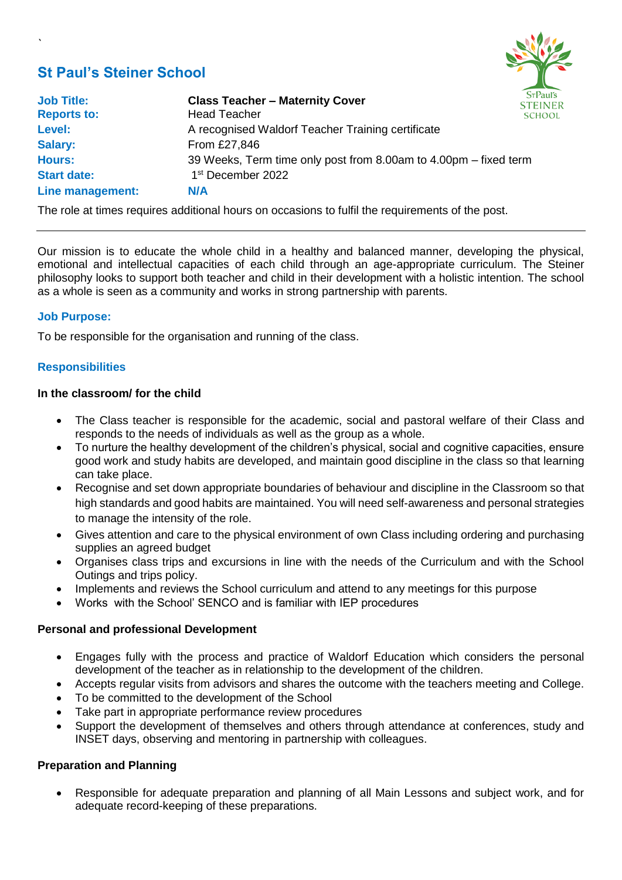# **St Paul's Steiner School**

`



| <b>Job Title:</b>  | <b>Class Teacher - Maternity Cover</b>                           | ST<br><b>STE</b> |
|--------------------|------------------------------------------------------------------|------------------|
| <b>Reports to:</b> | <b>Head Teacher</b>                                              | <b>SCI</b>       |
| Level:             | A recognised Waldorf Teacher Training certificate                |                  |
| <b>Salary:</b>     | From £27,846                                                     |                  |
| <b>Hours:</b>      | 39 Weeks, Term time only post from 8.00am to 4.00pm – fixed term |                  |
| <b>Start date:</b> | 1 <sup>st</sup> December 2022                                    |                  |
| Line management:   | <b>N/A</b>                                                       |                  |

The role at times requires additional hours on occasions to fulfil the requirements of the post.

Our mission is to educate the whole child in a healthy and balanced manner, developing the physical, emotional and intellectual capacities of each child through an age-appropriate curriculum. The Steiner philosophy looks to support both teacher and child in their development with a holistic intention. The school as a whole is seen as a community and works in strong partnership with parents.

## **Job Purpose:**

To be responsible for the organisation and running of the class.

## **Responsibilities**

#### **In the classroom/ for the child**

- The Class teacher is responsible for the academic, social and pastoral welfare of their Class and responds to the needs of individuals as well as the group as a whole.
- To nurture the healthy development of the children's physical, social and cognitive capacities, ensure good work and study habits are developed, and maintain good discipline in the class so that learning can take place.
- Recognise and set down appropriate boundaries of behaviour and discipline in the Classroom so that high standards and good habits are maintained. You will need self-awareness and personal strategies to manage the intensity of the role.
- Gives attention and care to the physical environment of own Class including ordering and purchasing supplies an agreed budget
- Organises class trips and excursions in line with the needs of the Curriculum and with the School Outings and trips policy.
- Implements and reviews the School curriculum and attend to any meetings for this purpose
- Works with the School' SENCO and is familiar with IEP procedures

## **Personal and professional Development**

- Engages fully with the process and practice of Waldorf Education which considers the personal development of the teacher as in relationship to the development of the children.
- Accepts regular visits from advisors and shares the outcome with the teachers meeting and College.
- To be committed to the development of the School
- Take part in appropriate performance review procedures
- Support the development of themselves and others through attendance at conferences, study and INSET days, observing and mentoring in partnership with colleagues.

## **Preparation and Planning**

• Responsible for adequate preparation and planning of all Main Lessons and subject work, and for adequate record-keeping of these preparations.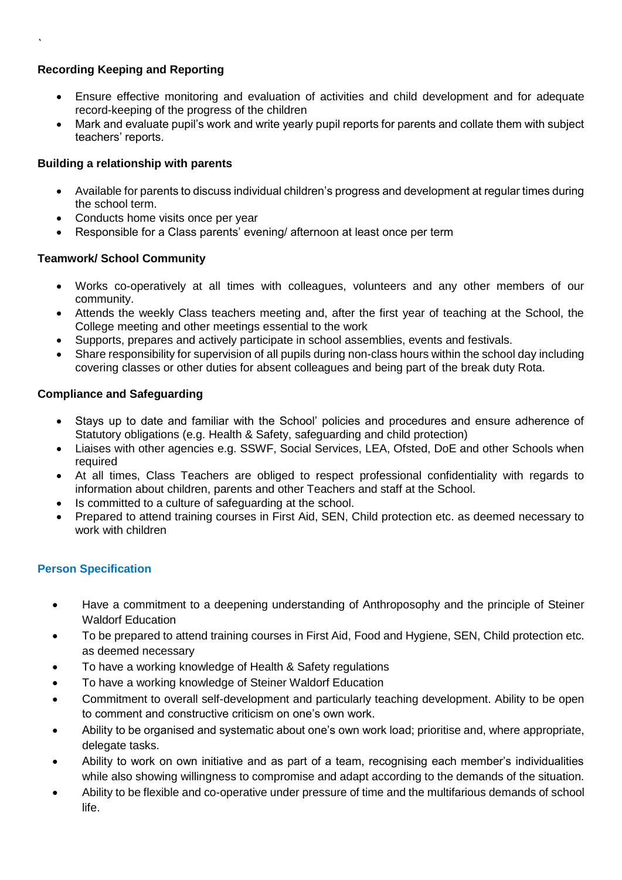# **Recording Keeping and Reporting**

`

- Ensure effective monitoring and evaluation of activities and child development and for adequate record-keeping of the progress of the children
- Mark and evaluate pupil's work and write yearly pupil reports for parents and collate them with subject teachers' reports.

## **Building a relationship with parents**

- Available for parents to discuss individual children's progress and development at regular times during the school term.
- Conducts home visits once per year
- Responsible for a Class parents' evening/ afternoon at least once per term

## **Teamwork/ School Community**

- Works co-operatively at all times with colleagues, volunteers and any other members of our community.
- Attends the weekly Class teachers meeting and, after the first year of teaching at the School, the College meeting and other meetings essential to the work
- Supports, prepares and actively participate in school assemblies, events and festivals.
- Share responsibility for supervision of all pupils during non-class hours within the school day including covering classes or other duties for absent colleagues and being part of the break duty Rota.

## **Compliance and Safeguarding**

- Stays up to date and familiar with the School' policies and procedures and ensure adherence of Statutory obligations (e.g. Health & Safety, safeguarding and child protection)
- Liaises with other agencies e.g. SSWF, Social Services, LEA, Ofsted, DoE and other Schools when required
- At all times, Class Teachers are obliged to respect professional confidentiality with regards to information about children, parents and other Teachers and staff at the School.
- Is committed to a culture of safeguarding at the school.
- Prepared to attend training courses in First Aid, SEN, Child protection etc. as deemed necessary to work with children

## **Person Specification**

- Have a commitment to a deepening understanding of Anthroposophy and the principle of Steiner Waldorf Education
- To be prepared to attend training courses in First Aid, Food and Hygiene, SEN, Child protection etc. as deemed necessary
- To have a working knowledge of Health & Safety regulations
- To have a working knowledge of Steiner Waldorf Education
- Commitment to overall self-development and particularly teaching development. Ability to be open to comment and constructive criticism on one's own work.
- Ability to be organised and systematic about one's own work load; prioritise and, where appropriate, delegate tasks.
- Ability to work on own initiative and as part of a team, recognising each member's individualities while also showing willingness to compromise and adapt according to the demands of the situation.
- Ability to be flexible and co-operative under pressure of time and the multifarious demands of school life.